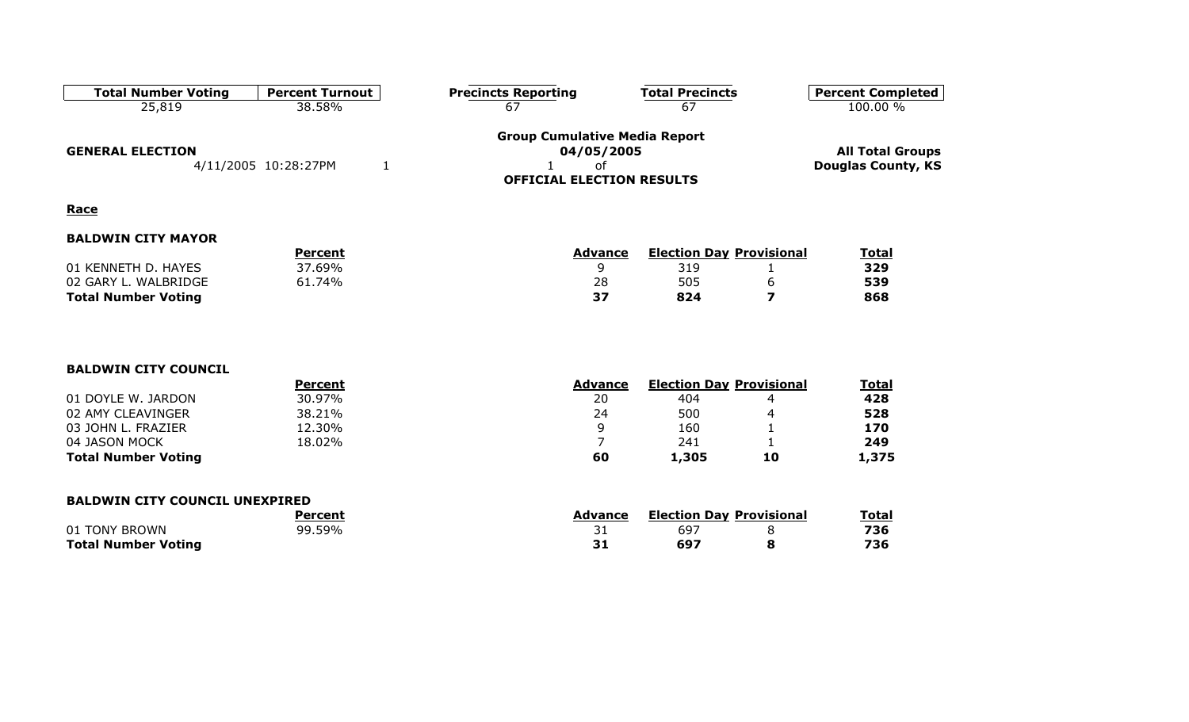| <b>Total Number Voting</b> | <b>Percent Turnout</b> | <b>Precincts Reporting</b>                         | <b>Total Precincts</b> | <b>Percent Completed</b>  |
|----------------------------|------------------------|----------------------------------------------------|------------------------|---------------------------|
| 25,819                     | 38.58%                 | 67                                                 | 67                     | 100.00 %                  |
| <b>GENERAL ELECTION</b>    |                        | <b>Group Cumulative Media Report</b><br>04/05/2005 |                        | <b>All Total Groups</b>   |
|                            | 4/11/2005 10:28:27PM   | оf<br><b>OFFICIAL ELECTION RESULTS</b>             |                        | <b>Douglas County, KS</b> |

### **Race**

|                            | Percent | Advance | <b>Election Day Provisional</b> |  | Total |  |
|----------------------------|---------|---------|---------------------------------|--|-------|--|
| 01 KENNETH D. HAYES        | 37.69%  |         |                                 |  | 329   |  |
| 02 GARY L. WALBRIDGE       | 61.74%  | 28      | 505                             |  | 539   |  |
| <b>Total Number Voting</b> |         | 37      | 824                             |  | 868   |  |

#### **BALDWIN CITY COUNCIL**

|                            | Percent | <b>Advance</b> | <b>Election Day Provisional</b> |    | <u>Total</u> |
|----------------------------|---------|----------------|---------------------------------|----|--------------|
| 01 DOYLE W. JARDON         | 30.97%  | 20             | 404                             |    | 428          |
| 02 AMY CLEAVINGER          | 38.21%  | 24             | 500                             |    | 528          |
| 03 JOHN L. FRAZIER         | 12.30%  |                | 160                             |    | 170          |
| 04 JASON MOCK              | 18.02%  |                | 241                             |    | 249          |
| <b>Total Number Voting</b> |         | 60             | 1,305                           | 10 | 1,375        |

#### **BALDWIN CITY COUNCIL UNEXPIRED**

|                            | Percent | Advance | <b>Election Day Provisional</b> |  | <b>Total</b> |
|----------------------------|---------|---------|---------------------------------|--|--------------|
| 01 TONY BROWN              | 99.59%  | ⊥ ب     | 69.                             |  | 736          |
| <b>Total Number Voting</b> |         |         |                                 |  | 736          |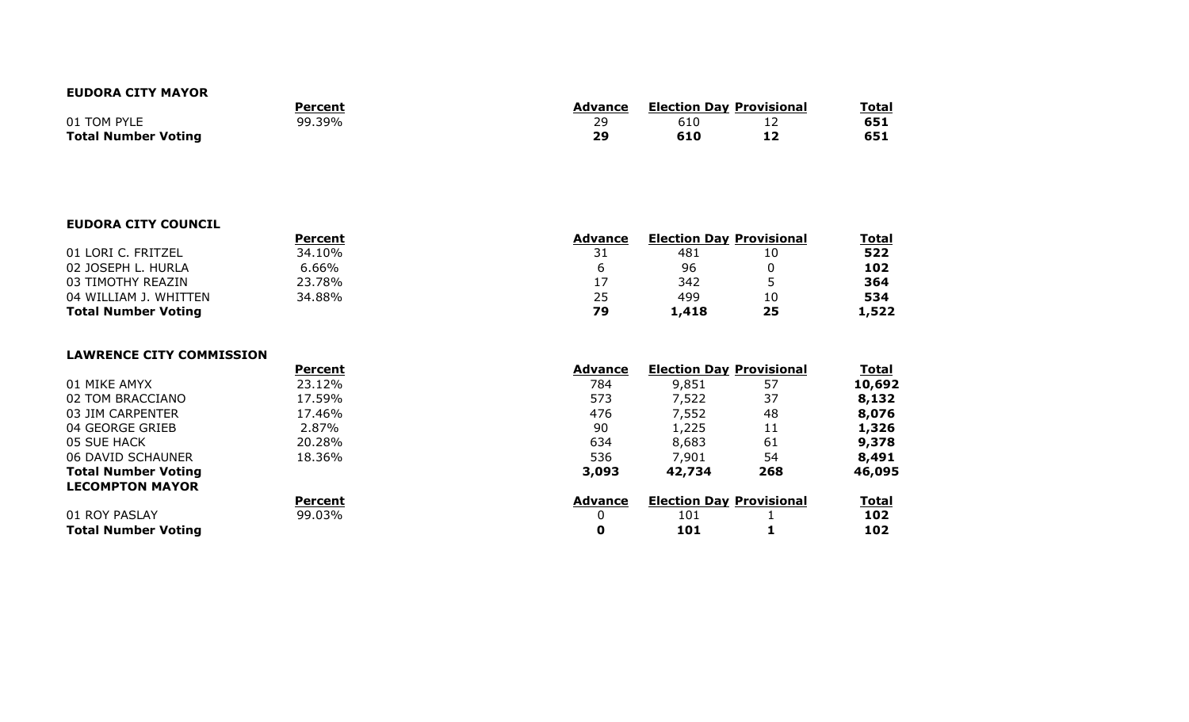#### **EUDORA CITY MAYOR**

|                            | Percent | Advance   | <b>Election Day Provisional</b> |  | <b>Total</b> |
|----------------------------|---------|-----------|---------------------------------|--|--------------|
| 01 TOM PYLE                | 99.39%  | 29        |                                 |  | 651          |
| <b>Total Number Voting</b> |         | <b>29</b> |                                 |  | 651          |

#### **EUDORA CITY COUNCIL**

|                            | Percent  | <b>Advance</b> | <b>Election Day Provisional</b> |    | Total |
|----------------------------|----------|----------------|---------------------------------|----|-------|
| 01 LORI C. FRITZEL         | 34.10%   |                | 481                             |    | 522   |
| 02 JOSEPH L. HURLA         | $6.66\%$ |                | 96                              |    | 102   |
| 03 TIMOTHY REAZIN          | 23.78%   | 17             | 342                             |    | 364   |
| 04 WILLIAM J. WHITTEN      | 34.88%   | 25             | 499                             |    | 534   |
| <b>Total Number Voting</b> |          | 79             | 1,418                           | 25 | 1,522 |

#### **LAWRENCE CITY COMMISSION**

|                            | <b>Percent</b> | <b>Advance</b> | <b>Election Day Provisional</b> |     | <u>Total</u> |
|----------------------------|----------------|----------------|---------------------------------|-----|--------------|
| 01 MIKE AMYX               | 23.12%         | 784            | 9,851                           | 57  | 10,692       |
| 02 TOM BRACCIANO           | 17.59%         | 573            | 7,522                           | 37  | 8,132        |
| 03 JIM CARPENTER           | 17.46%         | 476            | 7,552                           | 48  | 8,076        |
| 04 GEORGE GRIEB            | 2.87%          | 90             | 1,225                           |     | 1,326        |
| 05 SUE HACK                | 20.28%         | 634            | 8,683                           | 61  | 9,378        |
| 06 DAVID SCHAUNER          | 18.36%         | 536            | 7,901                           | 54  | 8,491        |
| <b>Total Number Voting</b> |                | 3,093          | 42,734                          | 268 | 46,095       |
| <b>LECOMPTON MAYOR</b>     |                |                |                                 |     |              |
|                            | Percent        | <b>Advance</b> | <b>Election Day Provisional</b> |     | <b>Total</b> |
| 01 ROY PASLAY              | 99.03%         |                | 101                             |     | 102          |
| <b>Total Number Voting</b> |                | 0              | 101                             |     | 102          |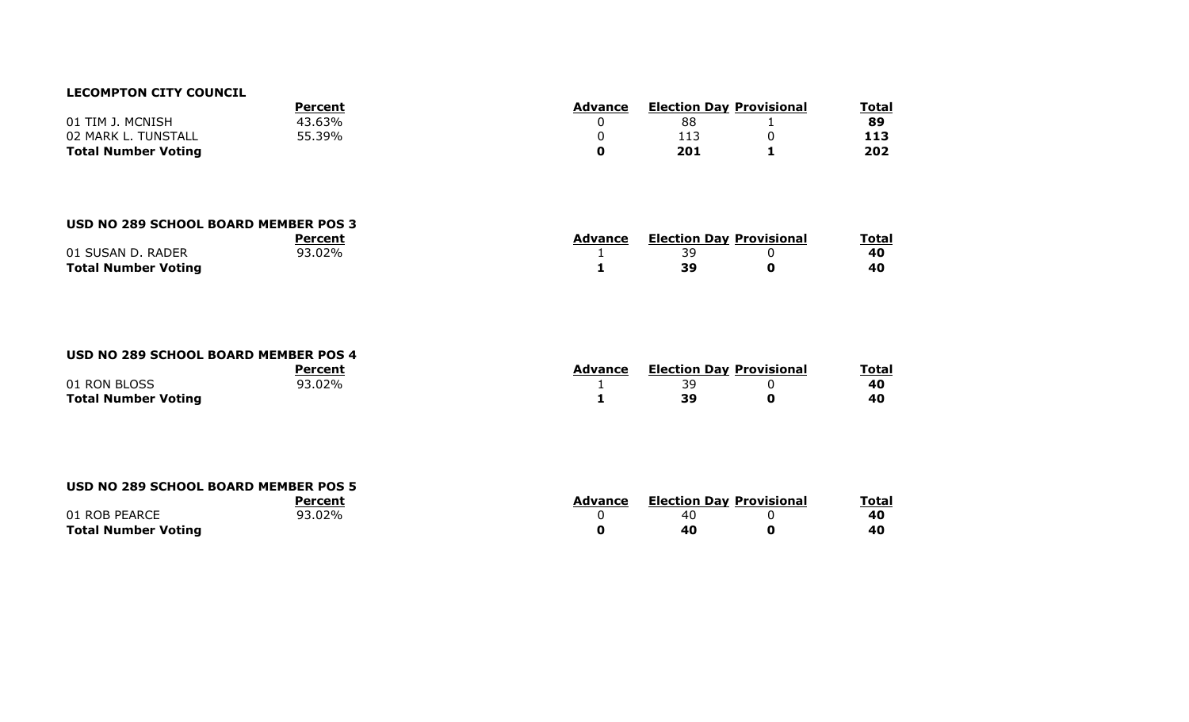#### **LECOMPTON CITY COUNCIL**

|                            | Percent | Advance | <b>Election Day Provisional</b> |  | <b>Total</b> |
|----------------------------|---------|---------|---------------------------------|--|--------------|
| 01 TIM J. MCNISH           | 43.63%  |         | 88                              |  | 89           |
| 02 MARK L. TUNSTALL        | 55.39%  |         |                                 |  | 113          |
| <b>Total Number Voting</b> |         |         | 201                             |  | 202          |

### **USD NO 289 SCHOOL BOARD MEMBER POS 3**

|                            |        | Advance | <b>Election Day Provisional</b> | Total |
|----------------------------|--------|---------|---------------------------------|-------|
| 01 SUSAN D. RADER          | 93.02% |         |                                 | 40    |
| <b>Total Number Voting</b> |        |         |                                 | 40    |

#### **USD NO 289 SCHOOL BOARD MEMBER POS 4**

|                            | Percent | Advance | <b>Election Day Provisional</b> |  | Total |  |
|----------------------------|---------|---------|---------------------------------|--|-------|--|
| 01 RON BLOSS               | 93.02%  |         |                                 |  | 40    |  |
| <b>Total Number Voting</b> |         |         |                                 |  | 40    |  |

#### **USD NO 289 SCHOOL BOARD MEMBER POS 5**

|                            | Percent        | Advance | <b>Election Day Provisional</b> |  | <b>Total</b> |  |
|----------------------------|----------------|---------|---------------------------------|--|--------------|--|
| 01 ROB PEARCE              | <u>ገ3.02% </u> |         | 40                              |  | 40           |  |
| <b>Total Number Voting</b> |                |         | 40                              |  | 40           |  |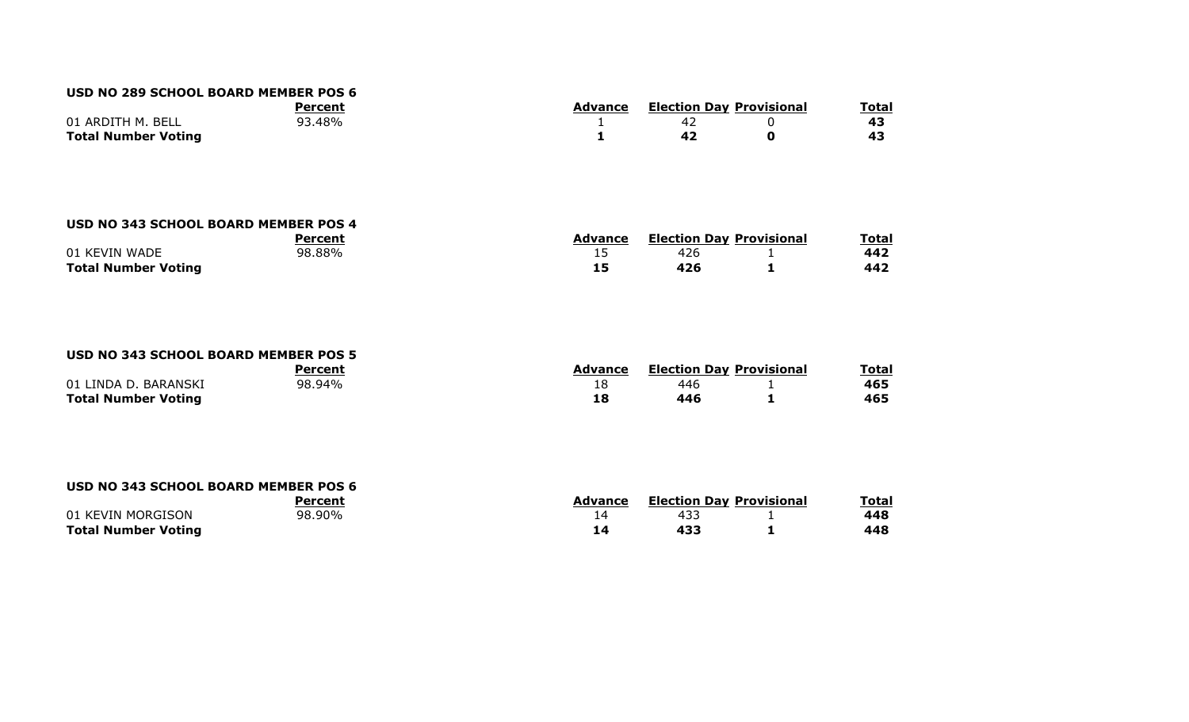#### **USD NO 289 SCHOOL BOARD MEMBER POS 6**

| Percent                    |        | Advance | <b>Election Day Provisional</b> | <b>Total</b> |  |
|----------------------------|--------|---------|---------------------------------|--------------|--|
| 01 ARDITH M. BELL          | 93.48% |         |                                 |              |  |
| <b>Total Number Voting</b> |        |         |                                 |              |  |

#### **USD NO 343 SCHOOL BOARD MEMBER POS 4**

|                            | Percent | <b>Advance</b> | <b>Election Day Provisional</b> | <b>Total</b> |
|----------------------------|---------|----------------|---------------------------------|--------------|
| 01 KEVIN WADE              | 98.88%  | --             | 426                             | 442          |
| <b>Total Number Voting</b> |         | --             |                                 | 442          |

#### **USD NO 343 SCHOOL BOARD MEMBER POS 5**

|                            | Percent | <b>Advance</b> | <b>Election Day Provisional</b> | <u>Total</u> |
|----------------------------|---------|----------------|---------------------------------|--------------|
| 01 LINDA D. BARANSKI       | 98.94%  |                |                                 | 465          |
| <b>Total Number Voting</b> |         |                | 446                             | 465          |

#### **USD NO 343 SCHOOL BOARD MEMBER POS 6**

|                            | Percent | Advance | <b>Election Day Provisional</b> | <b>Total</b> |
|----------------------------|---------|---------|---------------------------------|--------------|
| 01 KEVIN MORGISON          | 98.90%  |         |                                 | 448          |
| <b>Total Number Voting</b> |         |         |                                 | 448          |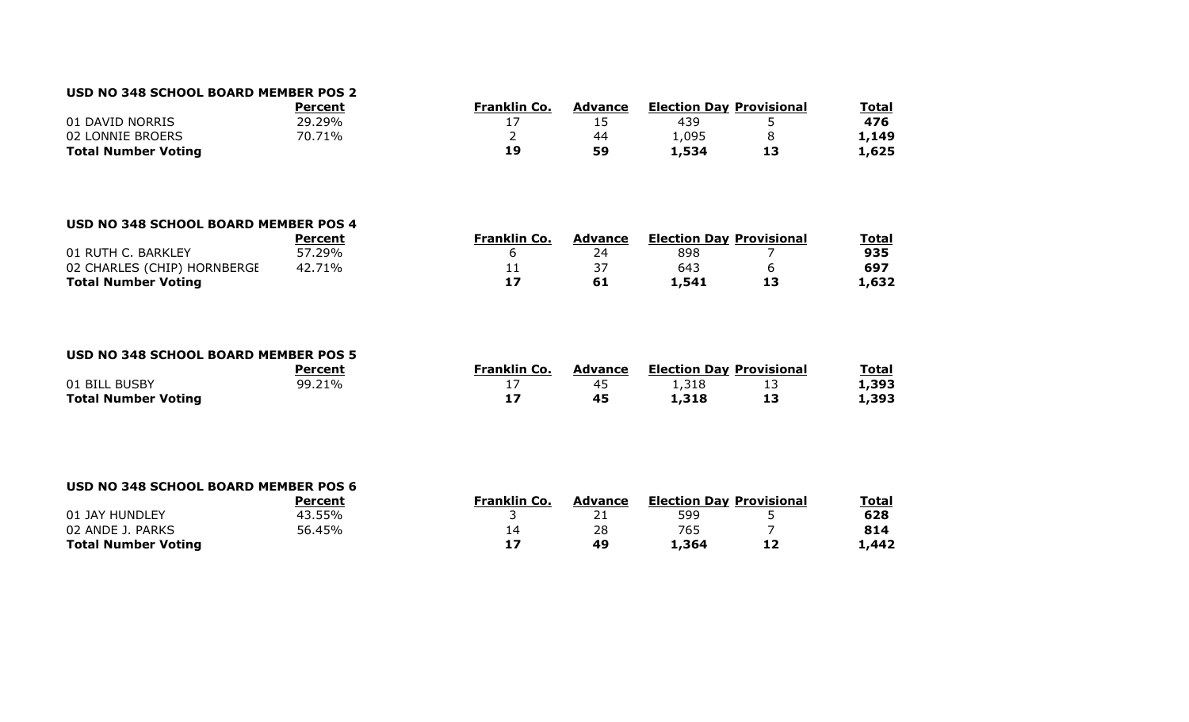### **USD NO 348 SCHOOL BOARD MEMBER POS 2**

|                            | Percent | <b>Franklin Co.</b> | <b>Advance</b> | <b>Election Day Provisional</b> |    | Total |
|----------------------------|---------|---------------------|----------------|---------------------------------|----|-------|
| 01 DAVID NORRIS            | 29.29%  |                     |                | 439                             |    | 476   |
| 02 LONNIE BROERS           | 70.71%  |                     | 44             | 1,095                           |    | 1,149 |
| <b>Total Number Voting</b> |         | 19                  | 59             | 534ء ک                          | 13 | 1,625 |

#### **USD NO 348 SCHOOL BOARD MEMBER POS 4**

|                             | Percent | Franklin Co. | Advance | <b>Election Day Provisional</b> | Total |
|-----------------------------|---------|--------------|---------|---------------------------------|-------|
| 01 RUTH C. BARKLEY          | 57.29%  |              |         | 898                             | 935   |
| 02 CHARLES (CHIP) HORNBERGE | 42.71%  | <u>ــ ـ</u>  |         | 643                             | 697   |
| <b>Total Number Voting</b>  |         |              |         | 1,541                           | L,632 |

#### **USD NO 348 SCHOOL BOARD MEMBER POS 5**

|                            | Percent | Franklin Co. | Advance | <b>Election Day Provisional</b> |    | <u>Total</u> |
|----------------------------|---------|--------------|---------|---------------------------------|----|--------------|
| 01 BILL BUSBY              | 99.21%  | . .          |         | 1,318                           | -- | 1,393        |
| <b>Total Number Voting</b> |         |              | 45      | 1,318                           | 13 | 1,393        |

#### **USD NO 348 SCHOOL BOARD MEMBER POS 6 PercentFranklin Co. Advance Election Day Provisional Total**<br>21 599 5 01 JAY HUNDLEY 43.55% 3 21 599 5 **628** 02 ANDE J. PARKS 56.45% 14 28 765 7 **814 Total Number Voting 17 49 1,364 12 1,442**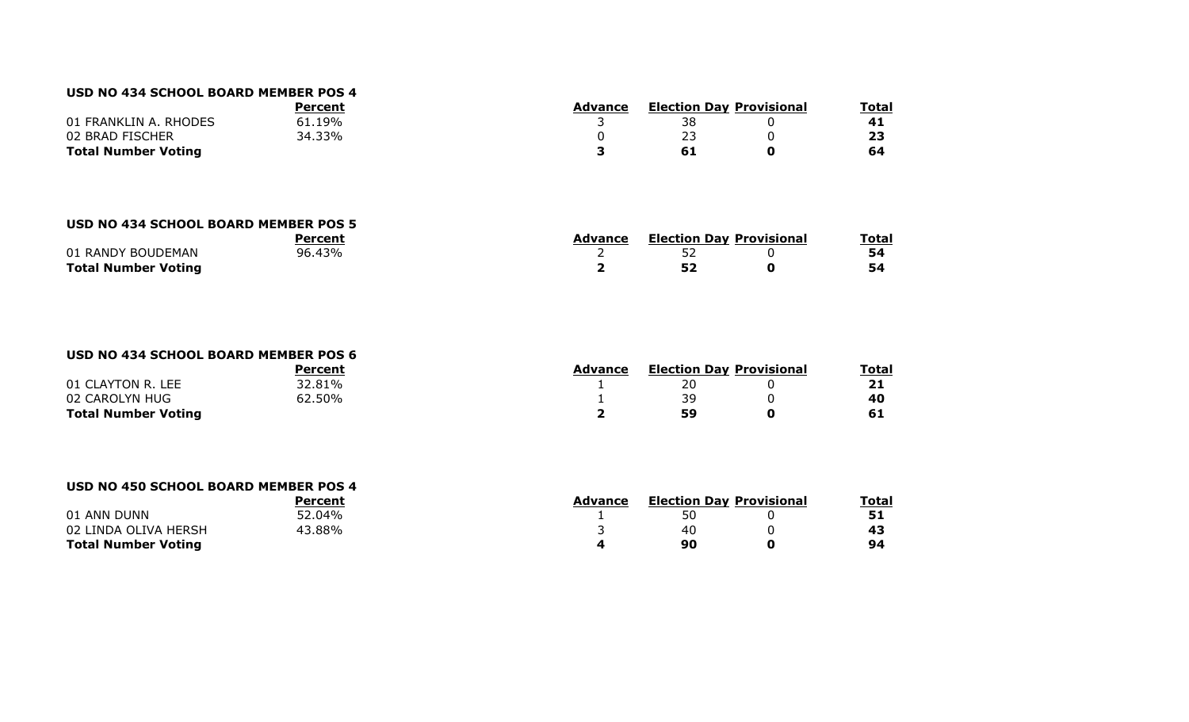#### **USD NO 434 SCHOOL BOARD MEMBER POS 4**

|                            | Percent | Advance | <b>Election Day Provisional</b> | <b>Total</b> |    |
|----------------------------|---------|---------|---------------------------------|--------------|----|
| 01 FRANKLIN A. RHODES      | 61.19%  |         | 38                              |              | 41 |
| 02 BRAD FISCHER            | 34.33%  |         |                                 |              |    |
| <b>Total Number Voting</b> |         |         |                                 |              | 64 |

#### **USD NO 434 SCHOOL BOARD MEMBER POS 5**

|                            |        | Advance | <b>Election Day Provisional</b> |  | Total |
|----------------------------|--------|---------|---------------------------------|--|-------|
| 01 RANDY BOUDEMAN          | 96.43% |         | - -                             |  | 54    |
| <b>Total Number Voting</b> |        |         |                                 |  | 54    |

#### **USD NO 434 SCHOOL BOARD MEMBER POS 6**

| Percent                    |        | Advance | <b>Election Day Provisional</b> | <u>Total</u> |
|----------------------------|--------|---------|---------------------------------|--------------|
| 01 CLAYTON R. LEE          | 32.81% |         |                                 | 21           |
| 02 CAROLYN HUG             | 62.50% |         | 30                              | 40           |
| <b>Total Number Voting</b> |        |         | 59                              |              |

#### **USD NO 450 SCHOOL BOARD MEMBER POS 4**

|                            | Percent | Advance | <b>Election Day Provisional</b> |  | Total |  |
|----------------------------|---------|---------|---------------------------------|--|-------|--|
| 01 ANN DUNN                | 52.04%  |         |                                 |  |       |  |
| 02 LINDA OLIVA HERSH       | 43.88%  |         | 40                              |  |       |  |
| <b>Total Number Voting</b> |         |         | 90                              |  | 94    |  |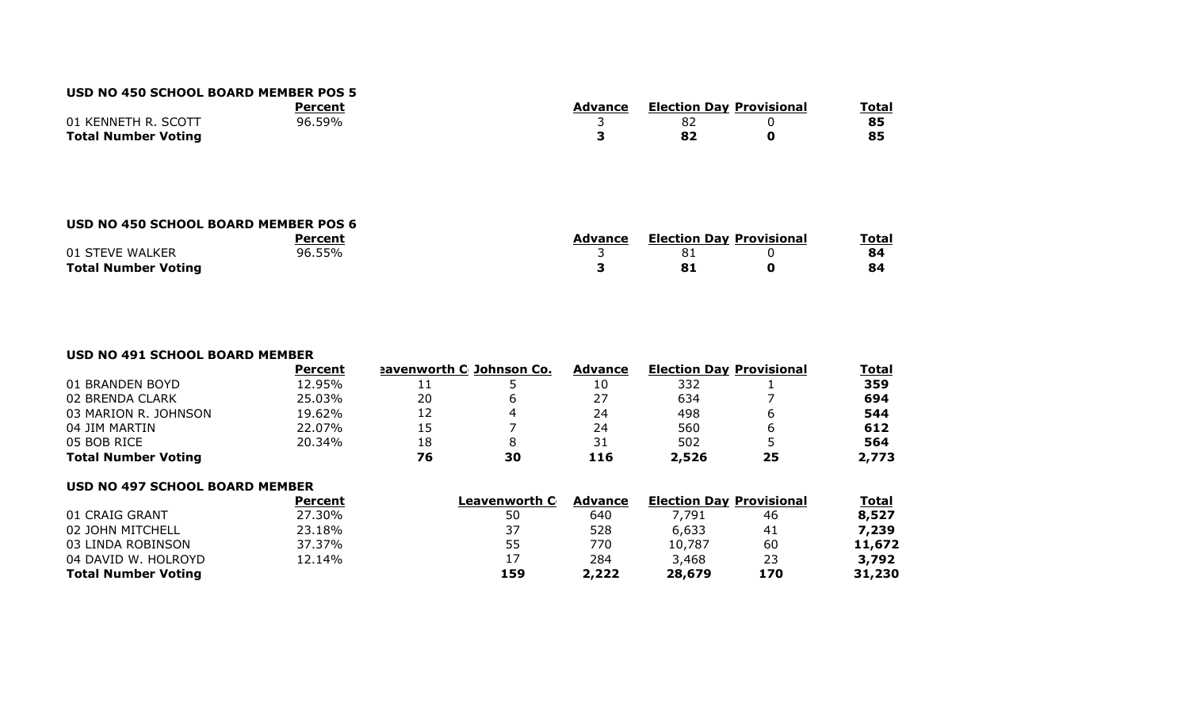#### **USD NO 450 SCHOOL BOARD MEMBER POS 5**

|                            | Percent | Advance |  | <b>Election Day Provisional</b> |  |
|----------------------------|---------|---------|--|---------------------------------|--|
| 01 KENNETH R. SCOTT        | 96.59%  |         |  |                                 |  |
| <b>Total Number Voting</b> |         |         |  |                                 |  |

#### **USD NO 450 SCHOOL BOARD MEMBER POS 6**

|                            | Percent | Advance | <b>Election Day Provisional</b> |  | <b>Total</b> |  |
|----------------------------|---------|---------|---------------------------------|--|--------------|--|
| 01 STEVE WALKER            | 96.55%  |         |                                 |  | 84           |  |
| <b>Total Number Voting</b> |         |         |                                 |  | 84           |  |

#### **USD NO 491 SCHOOL BOARD MEMBER**

|                            | <b>Percent</b> | <u>eavenworth C Johnson Co.</u> |    | <b>Advance</b> | <b>Election Day Provisional</b> |    | <b>Total</b> |
|----------------------------|----------------|---------------------------------|----|----------------|---------------------------------|----|--------------|
| 01 BRANDEN BOYD            | 12.95%         | + +                             |    | 10             | 332                             |    | 359          |
| 02 BRENDA CLARK            | 25.03%         | 20                              |    | 27             | 634                             |    | 694          |
| 03 MARION R. JOHNSON       | 19.62%         | 12                              |    | 24             | 498                             |    | 544          |
| 04 JIM MARTIN              | 22.07%         | 15                              |    | 24             | 560                             |    | 612          |
| 05 BOB RICE                | 20.34%         | 18                              | 8  | 31             | 502                             |    | 564          |
| <b>Total Number Voting</b> |                | 76                              | 30 | 116            | 2,526                           | 25 | 2,773        |

#### **USD NO 497 SCHOOL BOARD MEMBER**

| Percent | Leavenworth C |       |                |     | <u>Total</u>                    |
|---------|---------------|-------|----------------|-----|---------------------------------|
| 27.30%  | 50            | 640   | 7,791          | 46  | 8,527                           |
| 23.18%  | 37            | 528   | 6,633          | 41  | 7,239                           |
| 37.37%  | 55            | 770   | 10,787         | 60  | 11,672                          |
| 12.14%  | 17            | 284   | 3,468          | 23  | 3,792                           |
|         | 159           | 2,222 | 28,679         | 170 | 31,230                          |
|         |               |       | <b>Advance</b> |     | <b>Election Day Provisional</b> |